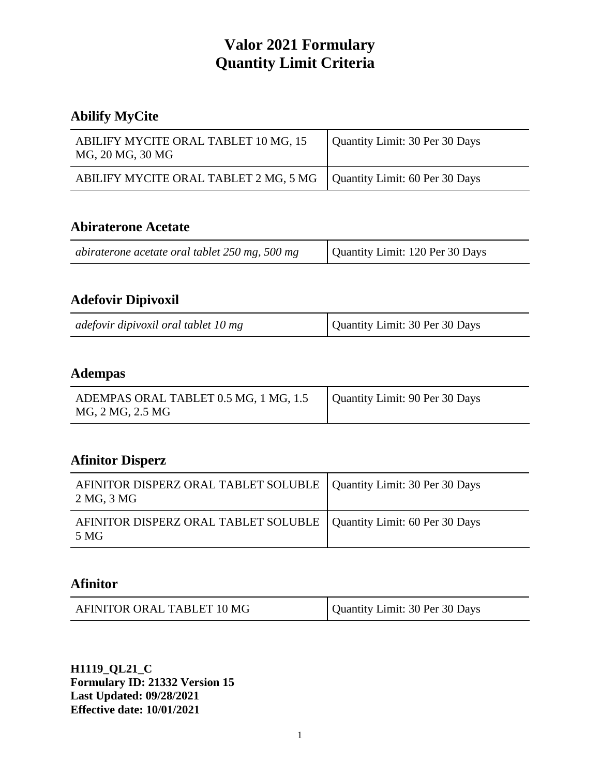# **Abilify MyCite**

| ABILIFY MYCITE ORAL TABLET 10 MG, 15<br>MG, 20 MG, 30 MG               | Quantity Limit: 30 Per 30 Days |
|------------------------------------------------------------------------|--------------------------------|
| ABILIFY MYCITE ORAL TABLET 2 MG, 5 MG   Quantity Limit: 60 Per 30 Days |                                |

#### **Abiraterone Acetate**

| abiraterone acetate oral tablet 250 mg, 500 mg | Quantity Limit: 120 Per 30 Days |
|------------------------------------------------|---------------------------------|

## **Adefovir Dipivoxil**

|  | adefovir dipivoxil oral tablet 10 mg | Quantity Limit: 30 Per 30 Days |
|--|--------------------------------------|--------------------------------|
|--|--------------------------------------|--------------------------------|

## **Adempas**

| ADEMPAS ORAL TABLET 0.5 MG, 1 MG, 1.5<br>MG, 2 MG, 2.5 MG | Quantity Limit: 90 Per 30 Days |
|-----------------------------------------------------------|--------------------------------|
|-----------------------------------------------------------|--------------------------------|

## **Afinitor Disperz**

| AFINITOR DISPERZ ORAL TABLET SOLUBLE   Quantity Limit: 30 Per 30 Days<br>2 MG, 3 MG |  |
|-------------------------------------------------------------------------------------|--|
| AFINITOR DISPERZ ORAL TABLET SOLUBLE   Quantity Limit: 60 Per 30 Days<br>5 MG       |  |

# **Afinitor**

| AFINITOR ORAL TABLET 10 MG | Quantity Limit: 30 Per 30 Days |
|----------------------------|--------------------------------|
|----------------------------|--------------------------------|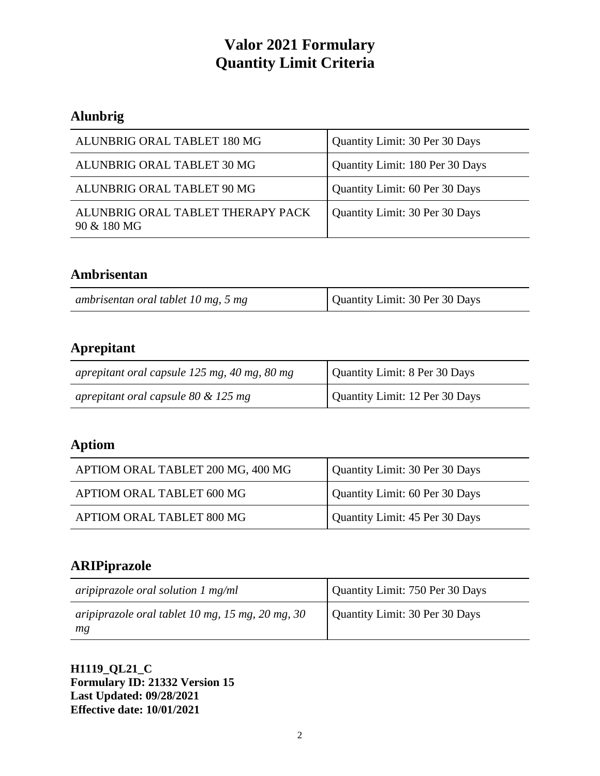# **Alunbrig**

| ALUNBRIG ORAL TABLET 180 MG                      | Quantity Limit: 30 Per 30 Days  |
|--------------------------------------------------|---------------------------------|
| ALUNBRIG ORAL TABLET 30 MG                       | Quantity Limit: 180 Per 30 Days |
| ALUNBRIG ORAL TABLET 90 MG                       | Quantity Limit: 60 Per 30 Days  |
| ALUNBRIG ORAL TABLET THERAPY PACK<br>90 & 180 MG | Quantity Limit: 30 Per 30 Days  |

## **Ambrisentan**

| ambrisentan oral tablet 10 mg, 5 mg | Quantity Limit: 30 Per 30 Days |
|-------------------------------------|--------------------------------|
|-------------------------------------|--------------------------------|

# **Aprepitant**

| aprepitant oral capsule $125$ mg, 40 mg, 80 mg | Quantity Limit: 8 Per 30 Days  |
|------------------------------------------------|--------------------------------|
| aprepitant oral capsule $80 \& 125$ mg         | Quantity Limit: 12 Per 30 Days |

# **Aptiom**

| APTIOM ORAL TABLET 200 MG, 400 MG | Quantity Limit: 30 Per 30 Days |
|-----------------------------------|--------------------------------|
| APTIOM ORAL TABLET 600 MG         | Quantity Limit: 60 Per 30 Days |
| APTIOM ORAL TABLET 800 MG         | Quantity Limit: 45 Per 30 Days |

# **ARIPiprazole**

| aripiprazole oral solution $1 \text{ mg/ml}$           | Quantity Limit: 750 Per 30 Days |
|--------------------------------------------------------|---------------------------------|
| aripiprazole oral tablet 10 mg, 15 mg, 20 mg, 30<br>mg | Quantity Limit: 30 Per 30 Days  |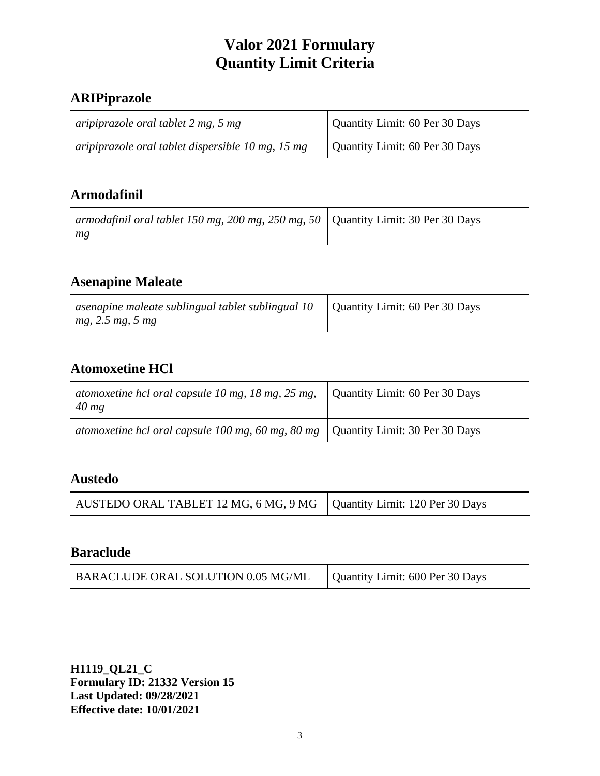# **ARIPiprazole**

| aripiprazole oral tablet 2 mg, 5 mg               | Quantity Limit: 60 Per 30 Days |
|---------------------------------------------------|--------------------------------|
| aripiprazole oral tablet dispersible 10 mg, 15 mg | Quantity Limit: 60 Per 30 Days |

## **Armodafinil**

| armodafinil oral tablet 150 mg, 200 mg, 250 mg, 50   Quantity Limit: 30 Per 30 Days |  |
|-------------------------------------------------------------------------------------|--|
| mg                                                                                  |  |

# **Asenapine Maleate**

| asenapine maleate sublingual tablet sublingual $10$   Quantity Limit: 60 Per 30 Days |  |
|--------------------------------------------------------------------------------------|--|
| mg, 2.5 mg, 5 mg                                                                     |  |

# **Atomoxetine HCl**

| atomoxetine hcl oral capsule 10 mg, 18 mg, 25 mg,<br>$40$ mg                       | Quantity Limit: 60 Per 30 Days |
|------------------------------------------------------------------------------------|--------------------------------|
| atomoxetine hcl oral capsule 100 mg, 60 mg, 80 mg   Quantity Limit: 30 Per 30 Days |                                |

### **Austedo**

| AUSTEDO ORAL TABLET 12 MG, 6 MG, 9 MG   Quantity Limit: 120 Per 30 Days |  |
|-------------------------------------------------------------------------|--|
|-------------------------------------------------------------------------|--|

#### **Baraclude**

| BARACLUDE ORAL SOLUTION 0.05 MG/ML | Quantity Limit: 600 Per 30 Days |
|------------------------------------|---------------------------------|
|------------------------------------|---------------------------------|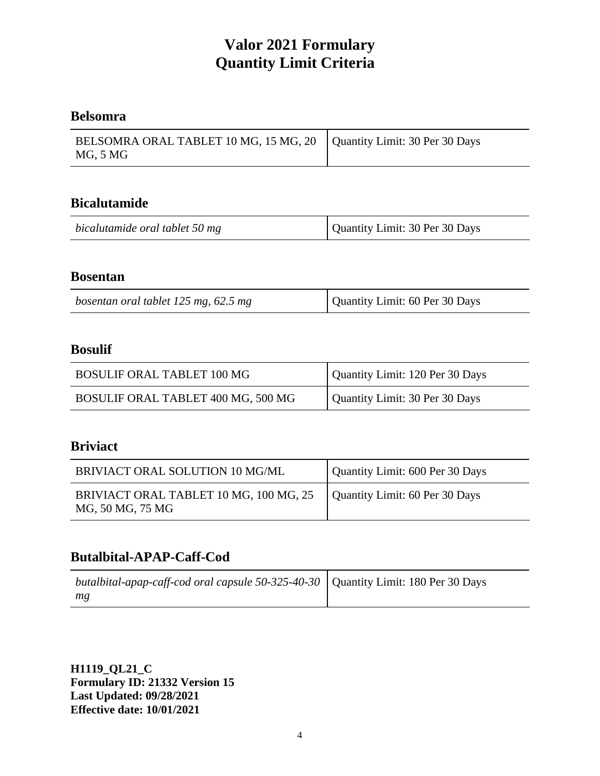## **Belsomra**

| BELSOMRA ORAL TABLET 10 MG, 15 MG, 20   Quantity Limit: 30 Per 30 Days |  |
|------------------------------------------------------------------------|--|
| MG, 5 MG                                                               |  |

#### **Bicalutamide**

| bicalutamide oral tablet 50 mg | Quantity Limit: 30 Per 30 Days |
|--------------------------------|--------------------------------|
|--------------------------------|--------------------------------|

#### **Bosentan**

| bosentan oral tablet 125 mg, 62.5 mg | Quantity Limit: 60 Per 30 Days |
|--------------------------------------|--------------------------------|
|--------------------------------------|--------------------------------|

#### **Bosulif**

| <b>BOSULIF ORAL TABLET 100 MG</b>  | Quantity Limit: 120 Per 30 Days |
|------------------------------------|---------------------------------|
| BOSULIF ORAL TABLET 400 MG, 500 MG | Quantity Limit: 30 Per 30 Days  |

## **Briviact**

| BRIVIACT ORAL SOLUTION 10 MG/ML                            | Quantity Limit: 600 Per 30 Days |
|------------------------------------------------------------|---------------------------------|
| BRIVIACT ORAL TABLET 10 MG, 100 MG, 25<br>MG, 50 MG, 75 MG | Quantity Limit: 60 Per 30 Days  |

#### **Butalbital-APAP-Caff-Cod**

| butalbital-apap-caff-cod oral capsule 50-325-40-30   Quantity Limit: 180 Per 30 Days |  |
|--------------------------------------------------------------------------------------|--|
| mg                                                                                   |  |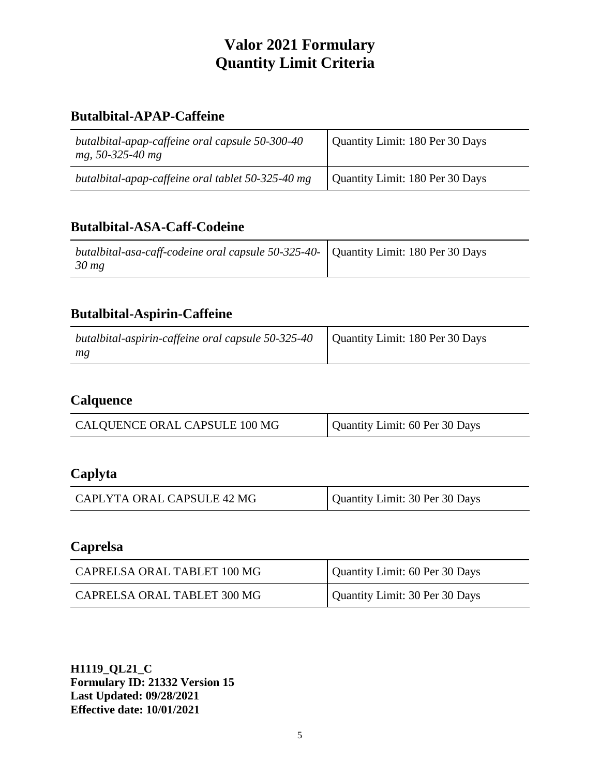## **Butalbital-APAP-Caffeine**

| butalbital-apap-caffeine oral capsule 50-300-40<br>mg, 50-325-40 mg | Quantity Limit: 180 Per 30 Days |
|---------------------------------------------------------------------|---------------------------------|
| butalbital-apap-caffeine oral tablet 50-325-40 mg                   | Quantity Limit: 180 Per 30 Days |

#### **Butalbital-ASA-Caff-Codeine**

| butalbital-asa-caff-codeine oral capsule 50-325-40-   Quantity Limit: 180 Per 30 Days<br>$30 \, mg$ |  |
|-----------------------------------------------------------------------------------------------------|--|

## **Butalbital-Aspirin-Caffeine**

| butalbital-aspirin-caffeine oral capsule 50-325-40   Quantity Limit: 180 Per 30 Days |  |
|--------------------------------------------------------------------------------------|--|
| mg                                                                                   |  |

#### **Calquence**

| CALQUENCE ORAL CAPSULE 100 MG | Quantity Limit: 60 Per 30 Days |
|-------------------------------|--------------------------------|

# **Caplyta**

| CAPLYTA ORAL CAPSULE 42 MG | Quantity Limit: 30 Per 30 Days |
|----------------------------|--------------------------------|

# **Caprelsa**

| CAPRELSA ORAL TABLET 100 MG | Quantity Limit: 60 Per 30 Days |
|-----------------------------|--------------------------------|
| CAPRELSA ORAL TABLET 300 MG | Quantity Limit: 30 Per 30 Days |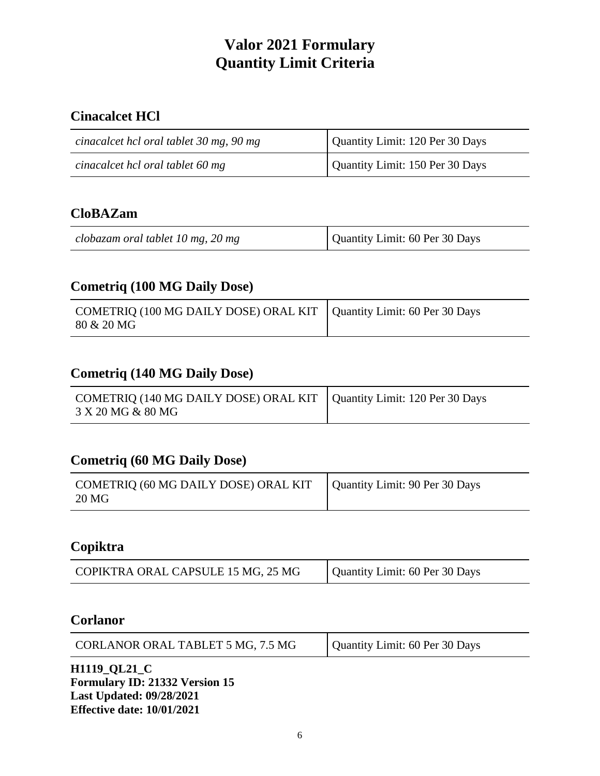# **Cinacalcet HCl**

| cinacalcet hcl oral tablet 30 mg, 90 mg | Quantity Limit: 120 Per 30 Days |
|-----------------------------------------|---------------------------------|
| cinacalcet hcl oral tablet 60 mg        | Quantity Limit: 150 Per 30 Days |

## **CloBAZam**

| Quantity Limit: 60 Per 30 Days<br>clobazam oral tablet 10 mg, 20 mg |
|---------------------------------------------------------------------|
|---------------------------------------------------------------------|

## **Cometriq (100 MG Daily Dose)**

| COMETRIQ (100 MG DAILY DOSE) ORAL KIT   Quantity Limit: 60 Per 30 Days<br>80 & 20 MG |  |
|--------------------------------------------------------------------------------------|--|
|--------------------------------------------------------------------------------------|--|

# **Cometriq (140 MG Daily Dose)**

| COMETRIQ (140 MG DAILY DOSE) ORAL KIT   Quantity Limit: 120 Per 30 Days<br>3 X 20 MG & 80 MG |  |
|----------------------------------------------------------------------------------------------|--|
|----------------------------------------------------------------------------------------------|--|

#### **Cometriq (60 MG Daily Dose)**

| COMETRIQ (60 MG DAILY DOSE) ORAL KIT<br>20 MG | Quantity Limit: 90 Per 30 Days |
|-----------------------------------------------|--------------------------------|
|-----------------------------------------------|--------------------------------|

#### **Copiktra**

| COPIKTRA ORAL CAPSULE 15 MG, 25 MG | Quantity Limit: 60 Per 30 Days |
|------------------------------------|--------------------------------|
|                                    |                                |

#### **Corlanor**

| CORLANOR ORAL TABLET 5 MG, 7.5 MG | Quantity Limit: 60 Per 30 Days |
|-----------------------------------|--------------------------------|
|-----------------------------------|--------------------------------|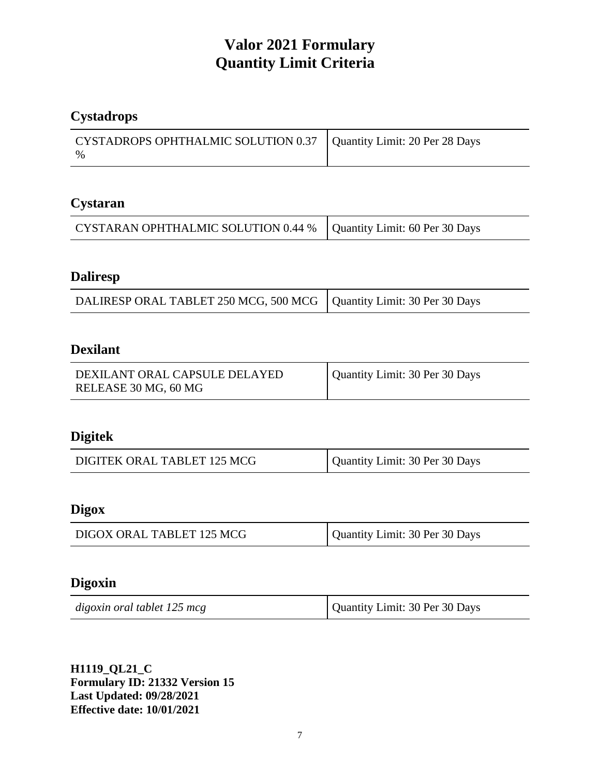# **Cystadrops**

| CYSTADROPS OPHTHALMIC SOLUTION 0.37   Quantity Limit: 20 Per 28 Days |  |
|----------------------------------------------------------------------|--|
| $\%$                                                                 |  |

## **Cystaran**

| CYSTARAN OPHTHALMIC SOLUTION 0.44 %   Quantity Limit: 60 Per 30 Days |  |
|----------------------------------------------------------------------|--|
|----------------------------------------------------------------------|--|

# **Daliresp**

| DALIRESP ORAL TABLET 250 MCG, 500 MCG   Quantity Limit: 30 Per 30 Days |  |
|------------------------------------------------------------------------|--|
|------------------------------------------------------------------------|--|

## **Dexilant**

| DEXILANT ORAL CAPSULE DELAYED | Quantity Limit: 30 Per 30 Days |
|-------------------------------|--------------------------------|
| RELEASE 30 MG, 60 MG          |                                |

## **Digitek**

| DIGITEK ORAL TABLET 125 MCG | Quantity Limit: 30 Per 30 Days |
|-----------------------------|--------------------------------|
|-----------------------------|--------------------------------|

# **Digox**

| DIGOX ORAL TABLET 125 MCG | Quantity Limit: 30 Per 30 Days |
|---------------------------|--------------------------------|
|                           |                                |

#### **Digoxin**

| digoxin oral tablet 125 mcg | Quantity Limit: 30 Per 30 Days |
|-----------------------------|--------------------------------|
|-----------------------------|--------------------------------|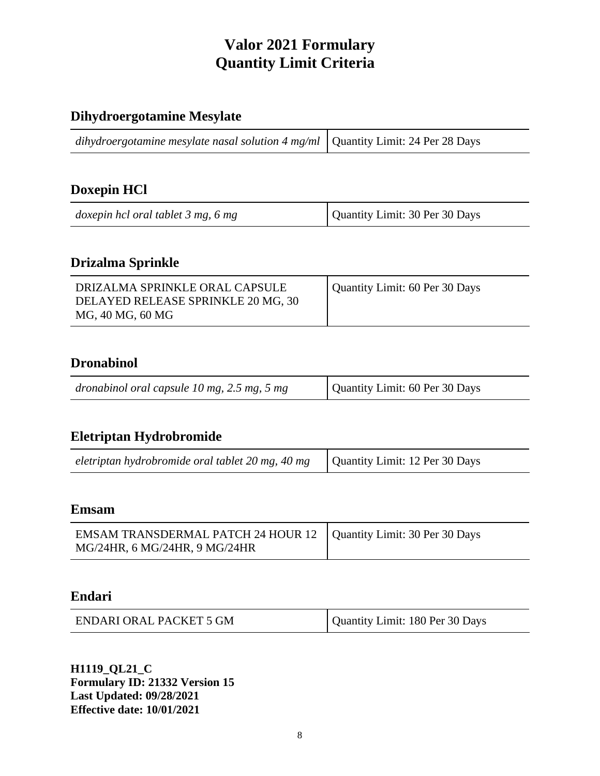# **Dihydroergotamine Mesylate**

#### **Doxepin HCl**

| doxepin hcl oral tablet 3 mg, 6 mg | Quantity Limit: 30 Per 30 Days |
|------------------------------------|--------------------------------|
|------------------------------------|--------------------------------|

#### **Drizalma Sprinkle**

| DRIZALMA SPRINKLE ORAL CAPSULE<br>DELAYED RELEASE SPRINKLE 20 MG, 30<br>MG, 40 MG, 60 MG | Quantity Limit: 60 Per 30 Days |
|------------------------------------------------------------------------------------------|--------------------------------|
|------------------------------------------------------------------------------------------|--------------------------------|

#### **Dronabinol**

| Quantity Limit: 60 Per 30 Days<br>dronabinol oral capsule $10$ mg, $2.5$ mg, $5$ mg |  |
|-------------------------------------------------------------------------------------|--|
|-------------------------------------------------------------------------------------|--|

## **Eletriptan Hydrobromide**

| eletriptan hydrobromide oral tablet 20 mg, 40 mg $\vert$ Quantity Limit: 12 Per 30 Days |  |
|-----------------------------------------------------------------------------------------|--|
|-----------------------------------------------------------------------------------------|--|

#### **Emsam**

| EMSAM TRANSDERMAL PATCH 24 HOUR 12   Quantity Limit: 30 Per 30 Days |  |
|---------------------------------------------------------------------|--|
| MG/24HR, 6 MG/24HR, 9 MG/24HR                                       |  |

#### **Endari**

| <b>ENDARI ORAL PACKET 5 GM</b> | Quantity Limit: 180 Per 30 Days |
|--------------------------------|---------------------------------|
|--------------------------------|---------------------------------|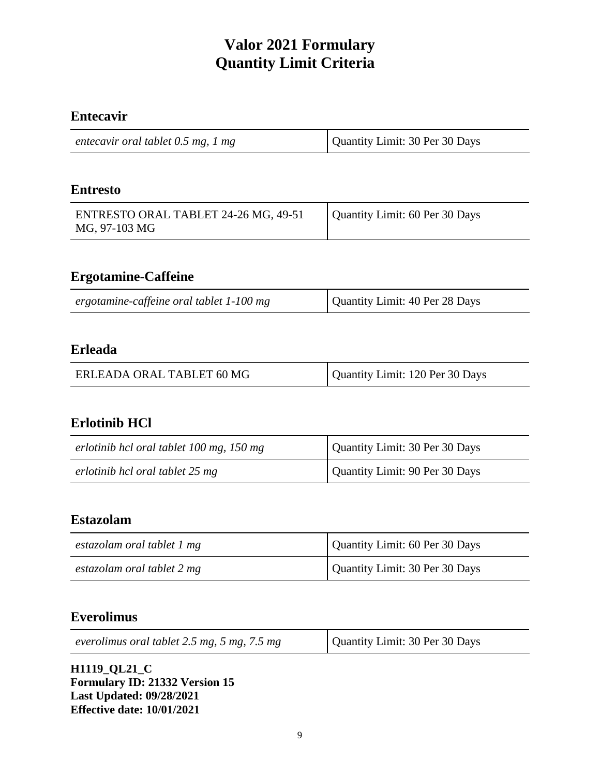## **Entecavir**

| entecavir oral tablet 0.5 mg, 1 mg | Quantity Limit: 30 Per 30 Days |
|------------------------------------|--------------------------------|
|                                    |                                |

#### **Entresto**

| ENTRESTO ORAL TABLET 24-26 MG, 49-51 | Quantity Limit: 60 Per 30 Days |
|--------------------------------------|--------------------------------|
| MG, 97-103 MG                        |                                |

#### **Ergotamine-Caffeine**

| ergotamine-caffeine oral tablet 1-100 mg | Quantity Limit: 40 Per 28 Days |
|------------------------------------------|--------------------------------|
|------------------------------------------|--------------------------------|

#### **Erleada**

|  | ERLEADA ORAL TABLET 60 MG | Quantity Limit: 120 Per 30 Days |
|--|---------------------------|---------------------------------|
|--|---------------------------|---------------------------------|

#### **Erlotinib HCl**

| erlotinib hcl oral tablet 100 mg, 150 mg | Quantity Limit: 30 Per 30 Days |
|------------------------------------------|--------------------------------|
| erlotinib hcl oral tablet 25 mg          | Quantity Limit: 90 Per 30 Days |

## **Estazolam**

| estazolam oral tablet 1 mg | Quantity Limit: 60 Per 30 Days |
|----------------------------|--------------------------------|
| estazolam oral tablet 2 mg | Quantity Limit: 30 Per 30 Days |

## **Everolimus**

| everolimus oral tablet $2.5$ mg, $5$ mg, $7.5$ mg | Quantity Limit: 30 Per 30 Days |
|---------------------------------------------------|--------------------------------|
|---------------------------------------------------|--------------------------------|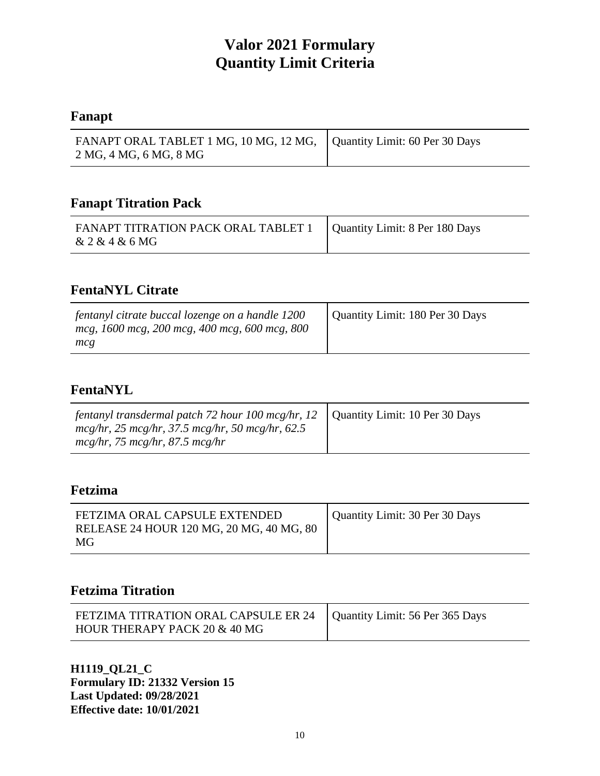#### **Fanapt**

| FANAPT ORAL TABLET 1 MG, 10 MG, 12 MG, Quantity Limit: 60 Per 30 Days |  |
|-----------------------------------------------------------------------|--|
| 2 MG, 4 MG, 6 MG, 8 MG                                                |  |

#### **Fanapt Titration Pack**

| FANAPT TITRATION PACK ORAL TABLET 1   Quantity Limit: 8 Per 180 Days<br>& 2 & 4 & 6 MG |  |
|----------------------------------------------------------------------------------------|--|
|----------------------------------------------------------------------------------------|--|

# **FentaNYL Citrate**

| fentanyl citrate buccal lozenge on a handle 1200<br>mcg, 1600 mcg, 200 mcg, 400 mcg, 600 mcg, 800<br>mcg | Quantity Limit: 180 Per 30 Days |
|----------------------------------------------------------------------------------------------------------|---------------------------------|
|----------------------------------------------------------------------------------------------------------|---------------------------------|

# **FentaNYL**

#### **Fetzima**

| FETZIMA ORAL CAPSULE EXTENDED<br>RELEASE 24 HOUR 120 MG, 20 MG, 40 MG, 80<br>MG | Quantity Limit: 30 Per 30 Days |
|---------------------------------------------------------------------------------|--------------------------------|
|---------------------------------------------------------------------------------|--------------------------------|

# **Fetzima Titration**

| FETZIMA TITRATION ORAL CAPSULE ER 24   Quantity Limit: 56 Per 365 Days |  |
|------------------------------------------------------------------------|--|
| HOUR THERAPY PACK 20 & 40 MG                                           |  |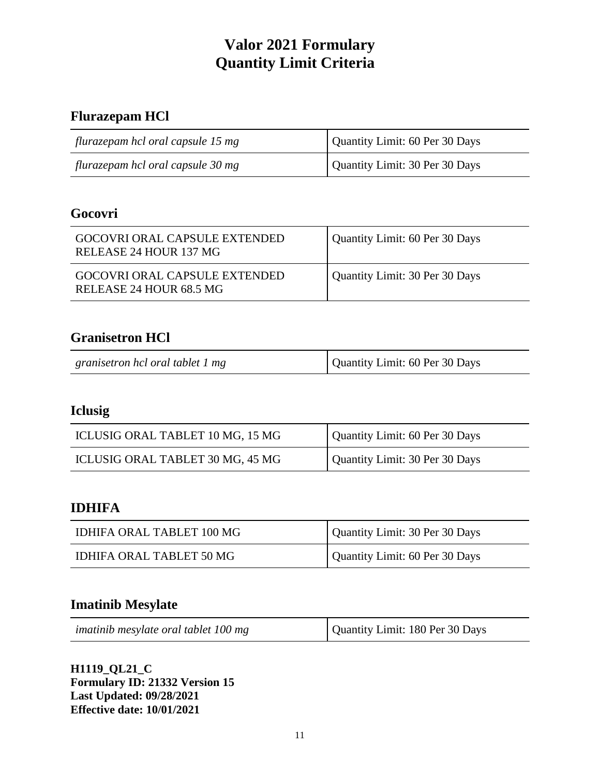# **Flurazepam HCl**

| flurazepam hcl oral capsule 15 mg | Quantity Limit: 60 Per 30 Days |
|-----------------------------------|--------------------------------|
| flurazepam hcl oral capsule 30 mg | Quantity Limit: 30 Per 30 Days |

## **Gocovri**

| GOCOVRI ORAL CAPSULE EXTENDED<br>RELEASE 24 HOUR 137 MG         | Quantity Limit: 60 Per 30 Days |
|-----------------------------------------------------------------|--------------------------------|
| <b>GOCOVRI ORAL CAPSULE EXTENDED</b><br>RELEASE 24 HOUR 68.5 MG | Quantity Limit: 30 Per 30 Days |

## **Granisetron HCl**

| granisetron hcl oral tablet 1 mg | Quantity Limit: 60 Per 30 Days |
|----------------------------------|--------------------------------|
|----------------------------------|--------------------------------|

# **Iclusig**

| ICLUSIG ORAL TABLET 10 MG, 15 MG | Quantity Limit: 60 Per 30 Days |
|----------------------------------|--------------------------------|
| ICLUSIG ORAL TABLET 30 MG, 45 MG | Quantity Limit: 30 Per 30 Days |

#### **IDHIFA**

| IDHIFA ORAL TABLET 100 MG | Quantity Limit: 30 Per 30 Days |
|---------------------------|--------------------------------|
| IDHIFA ORAL TABLET 50 MG  | Quantity Limit: 60 Per 30 Days |

#### **Imatinib Mesylate**

| imatinib mesylate oral tablet 100 mg | Quantity Limit: 180 Per 30 Days |
|--------------------------------------|---------------------------------|
|--------------------------------------|---------------------------------|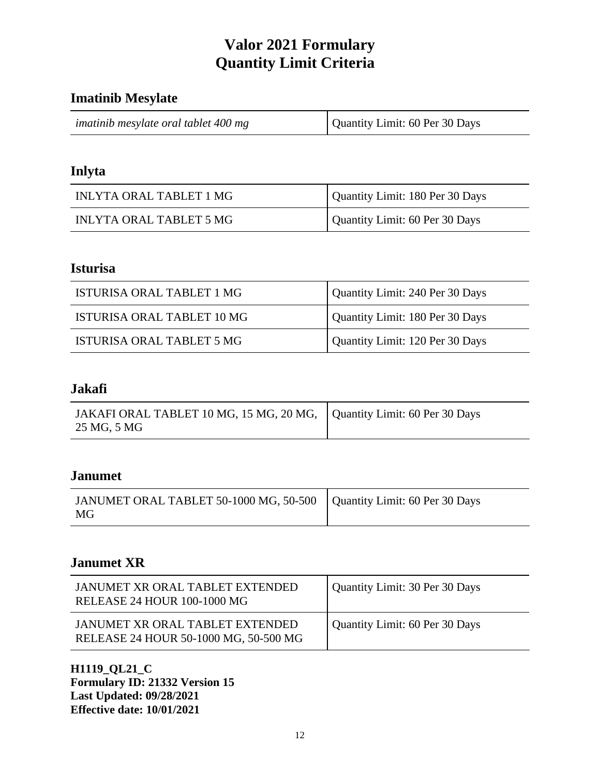#### **Imatinib Mesylate**

| imatinib mesylate oral tablet 400 mg | Quantity Limit: 60 Per 30 Days |
|--------------------------------------|--------------------------------|
|--------------------------------------|--------------------------------|

#### **Inlyta**

| INLYTA ORAL TABLET 1 MG | Quantity Limit: 180 Per 30 Days |
|-------------------------|---------------------------------|
| INLYTA ORAL TABLET 5 MG | Quantity Limit: 60 Per 30 Days  |

#### **Isturisa**

| ISTURISA ORAL TABLET 1 MG  | Quantity Limit: 240 Per 30 Days |
|----------------------------|---------------------------------|
| ISTURISA ORAL TABLET 10 MG | Quantity Limit: 180 Per 30 Days |
| ISTURISA ORAL TABLET 5 MG  | Quantity Limit: 120 Per 30 Days |

#### **Jakafi**

| JAKAFI ORAL TABLET 10 MG, 15 MG, 20 MG,   Quantity Limit: 60 Per 30 Days |  |
|--------------------------------------------------------------------------|--|
| 25 MG, 5 MG                                                              |  |

#### **Janumet**

| JANUMET ORAL TABLET 50-1000 MG, 50-500   Quantity Limit: 60 Per 30 Days<br>MG <sup>-</sup> |  |
|--------------------------------------------------------------------------------------------|--|
|--------------------------------------------------------------------------------------------|--|

# **Janumet XR**

| JANUMET XR ORAL TABLET EXTENDED<br>RELEASE 24 HOUR 100-1000 MG           | Quantity Limit: 30 Per 30 Days |
|--------------------------------------------------------------------------|--------------------------------|
| JANUMET XR ORAL TABLET EXTENDED<br>RELEASE 24 HOUR 50-1000 MG, 50-500 MG | Quantity Limit: 60 Per 30 Days |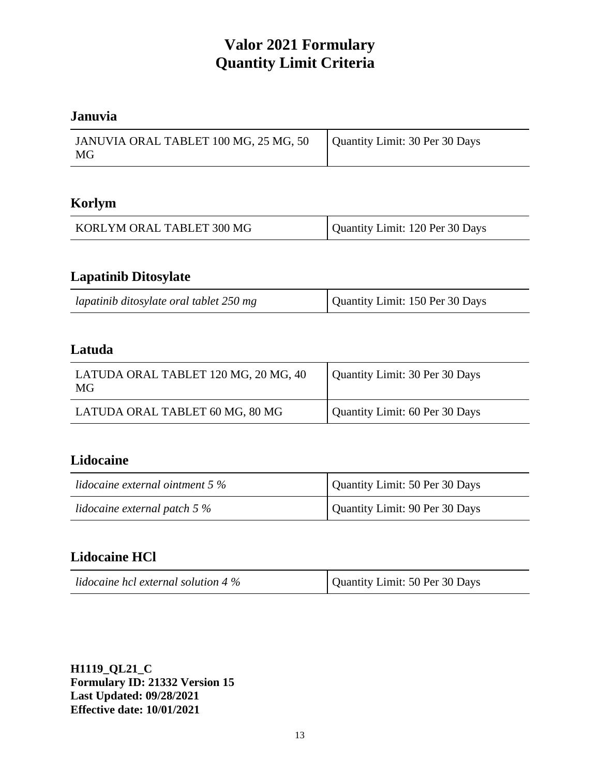## **Januvia**

| JANUVIA ORAL TABLET 100 MG, 25 MG, 50<br>MG | Quantity Limit: 30 Per 30 Days |
|---------------------------------------------|--------------------------------|

#### **Korlym**

| KORLYM ORAL TABLET 300 MG | Quantity Limit: 120 Per 30 Days |
|---------------------------|---------------------------------|
|---------------------------|---------------------------------|

# **Lapatinib Ditosylate**

| lapatinib ditosylate oral tablet 250 mg | Quantity Limit: 150 Per 30 Days |
|-----------------------------------------|---------------------------------|
|-----------------------------------------|---------------------------------|

#### **Latuda**

| LATUDA ORAL TABLET 120 MG, 20 MG, 40<br>MG | Quantity Limit: 30 Per 30 Days |
|--------------------------------------------|--------------------------------|
| LATUDA ORAL TABLET 60 MG, 80 MG            | Quantity Limit: 60 Per 30 Days |

#### **Lidocaine**

| lidocaine external ointment $5\%$ | Quantity Limit: 50 Per 30 Days |
|-----------------------------------|--------------------------------|
| lidocaine external patch $5\%$    | Quantity Limit: 90 Per 30 Days |

## **Lidocaine HCl**

| lidocaine hcl external solution 4 $\%$ | Quantity Limit: 50 Per 30 Days |
|----------------------------------------|--------------------------------|
|----------------------------------------|--------------------------------|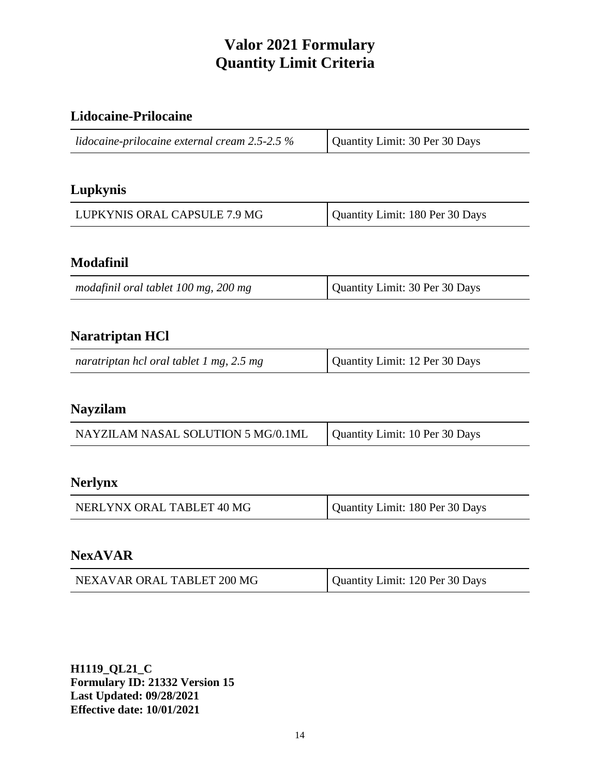## **Lidocaine-Prilocaine**

| Quantity Limit: 30 Per 30 Days |
|--------------------------------|
|                                |

# **Lupkynis**

| LUPKYNIS ORAL CAPSULE 7.9 MG | Quantity Limit: 180 Per 30 Days |
|------------------------------|---------------------------------|
|------------------------------|---------------------------------|

## **Modafinil**

| modafinil oral tablet 100 mg, 200 mg | Quantity Limit: 30 Per 30 Days |
|--------------------------------------|--------------------------------|
|--------------------------------------|--------------------------------|

## **Naratriptan HCl**

| naratriptan hcl oral tablet 1 mg, 2.5 mg | Quantity Limit: 12 Per 30 Days |
|------------------------------------------|--------------------------------|
|------------------------------------------|--------------------------------|

#### **Nayzilam**

| NAYZILAM NASAL SOLUTION 5 MG/0.1ML | Quantity Limit: 10 Per 30 Days |
|------------------------------------|--------------------------------|
|                                    |                                |

#### **Nerlynx**

| NERLYNX ORAL TABLET 40 MG | Quantity Limit: 180 Per 30 Days |
|---------------------------|---------------------------------|
|                           |                                 |

#### **NexAVAR**

| NEXAVAR ORAL TABLET 200 MG | Quantity Limit: 120 Per 30 Days |
|----------------------------|---------------------------------|
|----------------------------|---------------------------------|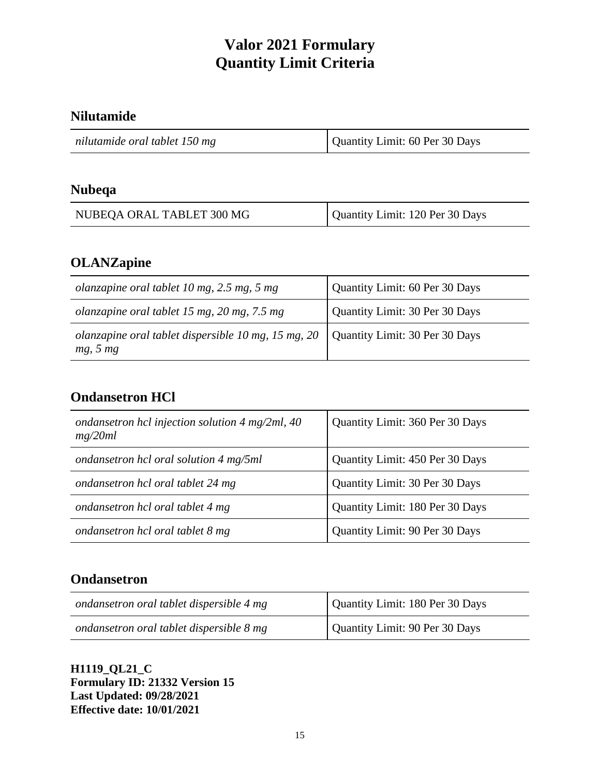## **Nilutamide**

| nilutamide oral tablet 150 mg | Quantity Limit: 60 Per 30 Days |
|-------------------------------|--------------------------------|
|                               |                                |

#### **Nubeqa**

| NUBEQA ORAL TABLET 300 MG | Quantity Limit: 120 Per 30 Days |
|---------------------------|---------------------------------|
|---------------------------|---------------------------------|

## **OLANZapine**

| olanzapine oral tablet 10 mg, $2.5$ mg, $5$ mg                              | Quantity Limit: 60 Per 30 Days |
|-----------------------------------------------------------------------------|--------------------------------|
| olanzapine oral tablet 15 mg, 20 mg, 7.5 mg                                 | Quantity Limit: 30 Per 30 Days |
| olanzapine oral tablet dispersible 10 mg, 15 mg, 20 $\parallel$<br>mg, 5 mg | Quantity Limit: 30 Per 30 Days |

## **Ondansetron HCl**

| ondansetron hcl injection solution $4 \text{ mg/2ml}$ , $40$<br>mg/20ml | Quantity Limit: 360 Per 30 Days |
|-------------------------------------------------------------------------|---------------------------------|
| ondansetron hcl oral solution 4 mg/5ml                                  | Quantity Limit: 450 Per 30 Days |
| ondansetron hcl oral tablet 24 mg                                       | Quantity Limit: 30 Per 30 Days  |
| ondansetron hcl oral tablet 4 mg                                        | Quantity Limit: 180 Per 30 Days |
| ondansetron hcl oral tablet 8 mg                                        | Quantity Limit: 90 Per 30 Days  |

## **Ondansetron**

| ondansetron oral tablet dispersible 4 mg | Quantity Limit: 180 Per 30 Days |
|------------------------------------------|---------------------------------|
| ondansetron oral tablet dispersible 8 mg | Quantity Limit: 90 Per 30 Days  |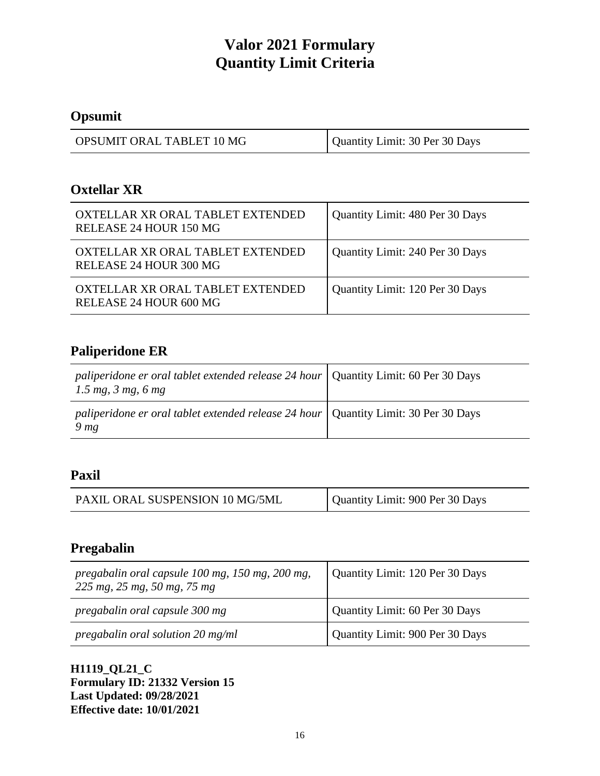# **Opsumit**

| OPSUMIT ORAL TABLET 10 MG | Quantity Limit: 30 Per 30 Days |
|---------------------------|--------------------------------|
|---------------------------|--------------------------------|

#### **Oxtellar XR**

| OXTELLAR XR ORAL TABLET EXTENDED<br>RELEASE 24 HOUR 150 MG | Quantity Limit: 480 Per 30 Days |
|------------------------------------------------------------|---------------------------------|
| OXTELLAR XR ORAL TABLET EXTENDED<br>RELEASE 24 HOUR 300 MG | Quantity Limit: 240 Per 30 Days |
| OXTELLAR XR ORAL TABLET EXTENDED<br>RELEASE 24 HOUR 600 MG | Quantity Limit: 120 Per 30 Days |

# **Paliperidone ER**

| paliperidone er oral tablet extended release 24 hour   Quantity Limit: 60 Per 30 Days<br>1.5 mg, 3 mg, 6 mg |  |
|-------------------------------------------------------------------------------------------------------------|--|
| paliperidone er oral tablet extended release 24 hour   Quantity Limit: 30 Per 30 Days<br>9 <sub>mg</sub>    |  |

## **Paxil**

| Quantity Limit: 900 Per 30 Days<br>PAXIL ORAL SUSPENSION 10 MG/5ML |
|--------------------------------------------------------------------|
|--------------------------------------------------------------------|

## **Pregabalin**

| pregabalin oral capsule 100 mg, 150 mg, 200 mg,<br>$225 \, mg$ , $25 \, mg$ , $50 \, mg$ , $75 \, mg$ | Quantity Limit: 120 Per 30 Days |
|-------------------------------------------------------------------------------------------------------|---------------------------------|
| pregabalin oral capsule 300 mg                                                                        | Quantity Limit: 60 Per 30 Days  |
| pregabalin oral solution 20 mg/ml                                                                     | Quantity Limit: 900 Per 30 Days |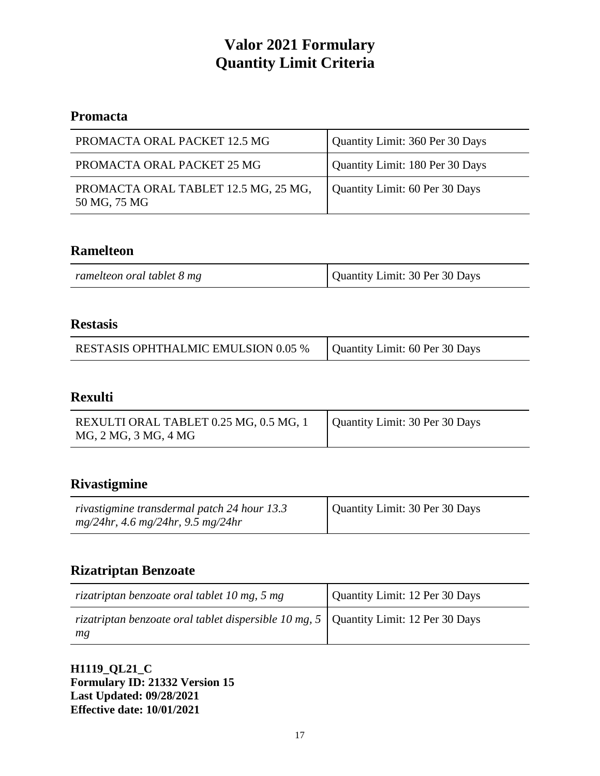## **Promacta**

| PROMACTA ORAL PACKET 12.5 MG                         | Quantity Limit: 360 Per 30 Days |
|------------------------------------------------------|---------------------------------|
| PROMACTA ORAL PACKET 25 MG                           | Quantity Limit: 180 Per 30 Days |
| PROMACTA ORAL TABLET 12.5 MG, 25 MG,<br>50 MG, 75 MG | Quantity Limit: 60 Per 30 Days  |

## **Ramelteon**

| ramelteon oral tablet 8 mg | Quantity Limit: 30 Per 30 Days |
|----------------------------|--------------------------------|

#### **Restasis**

| <b>RESTASIS OPHTHALMIC EMULSION 0.05 %</b> | Quantity Limit: 60 Per 30 Days |
|--------------------------------------------|--------------------------------|

## **Rexulti**

| REXULTI ORAL TABLET 0.25 MG, 0.5 MG, 1 | Quantity Limit: 30 Per 30 Days |
|----------------------------------------|--------------------------------|
| MG, 2 MG, 3 MG, 4 MG                   |                                |

#### **Rivastigmine**

| rivastigmine transdermal patch 24 hour 13.3 | Quantity Limit: 30 Per 30 Days |
|---------------------------------------------|--------------------------------|
| $mg/24hr$ , 4.6 mg/24hr, 9.5 mg/24hr        |                                |

#### **Rizatriptan Benzoate**

| rizatriptan benzoate oral tablet 10 mg, 5 mg                                                 | Quantity Limit: 12 Per 30 Days |
|----------------------------------------------------------------------------------------------|--------------------------------|
| rizatriptan benzoate oral tablet dispersible 10 mg, 5   Quantity Limit: 12 Per 30 Days<br>mg |                                |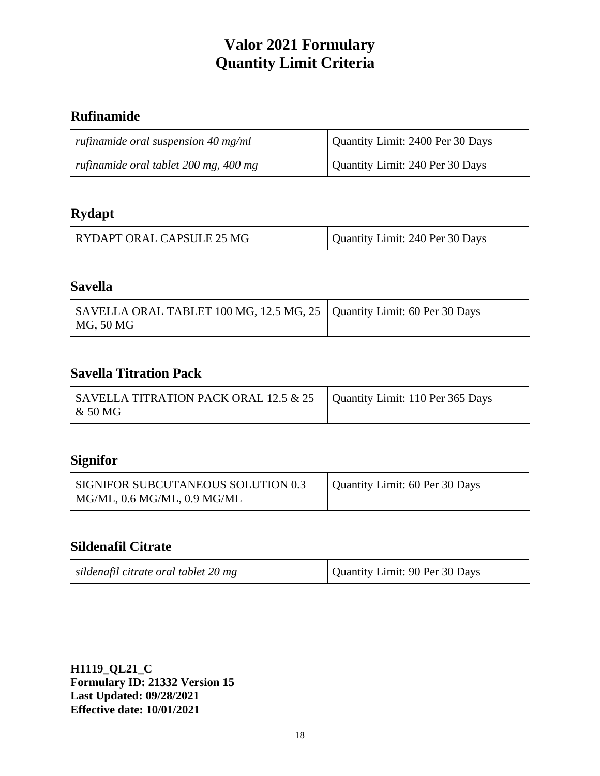# **Rufinamide**

| rufinamide oral suspension $40 \text{ mg/ml}$ | Quantity Limit: 2400 Per 30 Days |
|-----------------------------------------------|----------------------------------|
| rufinamide oral tablet 200 mg, 400 mg         | Quantity Limit: 240 Per 30 Days  |

# **Rydapt**

|  | RYDAPT ORAL CAPSULE 25 MG | Quantity Limit: 240 Per 30 Days |
|--|---------------------------|---------------------------------|
|--|---------------------------|---------------------------------|

#### **Savella**

| SAVELLA ORAL TABLET 100 MG, 12.5 MG, 25   Quantity Limit: 60 Per 30 Days<br>MG, 50 MG |  |
|---------------------------------------------------------------------------------------|--|
|---------------------------------------------------------------------------------------|--|

#### **Savella Titration Pack**

| SAVELLA TITRATION PACK ORAL 12.5 $& 25$   Quantity Limit: 110 Per 365 Days<br>& 50 MG |  |
|---------------------------------------------------------------------------------------|--|
|---------------------------------------------------------------------------------------|--|

## **Signifor**

| SIGNIFOR SUBCUTANEOUS SOLUTION 0.3 | Quantity Limit: 60 Per 30 Days |
|------------------------------------|--------------------------------|
| MG/ML, 0.6 MG/ML, 0.9 MG/ML        |                                |

# **Sildenafil Citrate**

| sildenafil citrate oral tablet 20 mg | Quantity Limit: 90 Per 30 Days |
|--------------------------------------|--------------------------------|
|--------------------------------------|--------------------------------|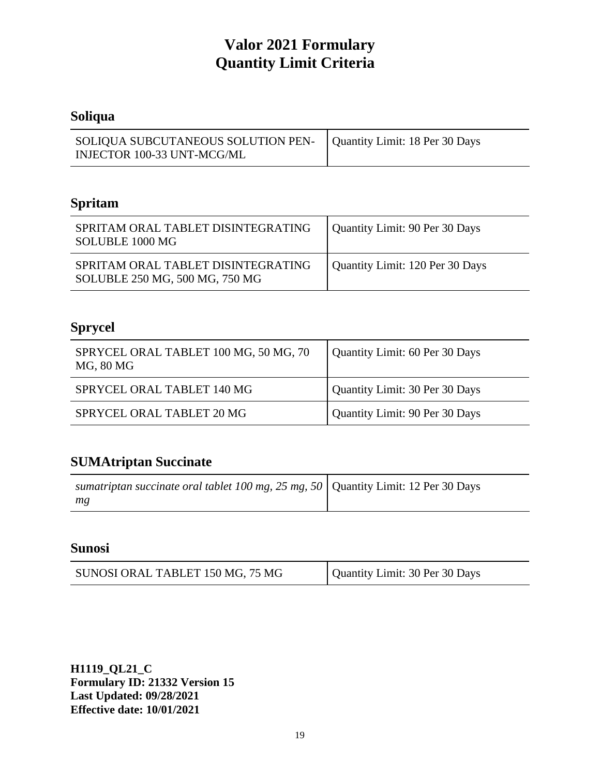# **Soliqua**

| SOLIQUA SUBCUTANEOUS SOLUTION PEN-   Quantity Limit: 18 Per 30 Days |  |
|---------------------------------------------------------------------|--|
| INJECTOR 100-33 UNT-MCG/ML                                          |  |

# **Spritam**

| SPRITAM ORAL TABLET DISINTEGRATING<br>SOLUBLE 1000 MG                | Quantity Limit: 90 Per 30 Days  |
|----------------------------------------------------------------------|---------------------------------|
| SPRITAM ORAL TABLET DISINTEGRATING<br>SOLUBLE 250 MG, 500 MG, 750 MG | Quantity Limit: 120 Per 30 Days |

# **Sprycel**

| SPRYCEL ORAL TABLET 100 MG, 50 MG, 70<br>MG, 80 MG | Quantity Limit: 60 Per 30 Days |
|----------------------------------------------------|--------------------------------|
| SPRYCEL ORAL TABLET 140 MG                         | Quantity Limit: 30 Per 30 Days |
| SPRYCEL ORAL TABLET 20 MG                          | Quantity Limit: 90 Per 30 Days |

# **SUMAtriptan Succinate**

| sumatriptan succinate oral tablet 100 mg, 25 mg, 50   Quantity Limit: 12 Per 30 Days |  |
|--------------------------------------------------------------------------------------|--|
| mg                                                                                   |  |

# **Sunosi**

| Quantity Limit: 30 Per 30 Days |
|--------------------------------|
|                                |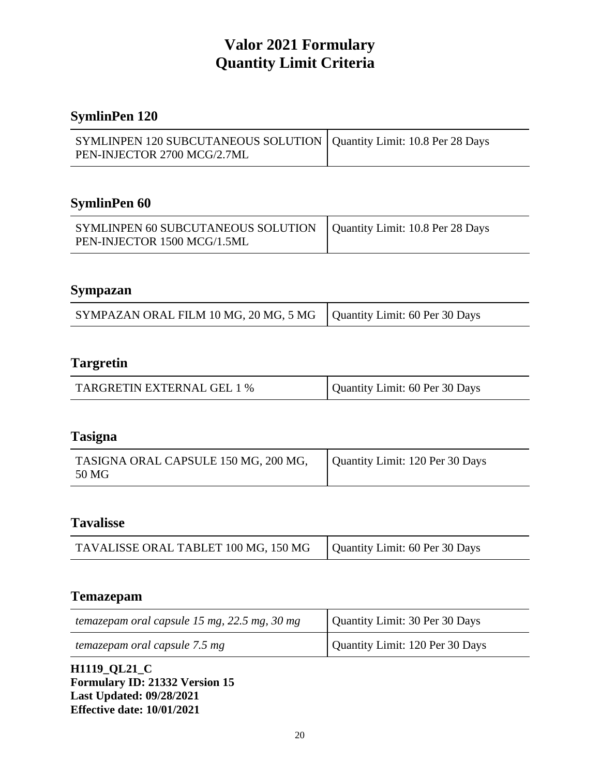# **SymlinPen 120**

| SYMLINPEN 120 SUBCUTANEOUS SOLUTION   Quantity Limit: 10.8 Per 28 Days |  |
|------------------------------------------------------------------------|--|
| PEN-INJECTOR 2700 MCG/2.7ML                                            |  |

# **SymlinPen 60**

| SYMLINPEN 60 SUBCUTANEOUS SOLUTION   Quantity Limit: 10.8 Per 28 Days |  |
|-----------------------------------------------------------------------|--|
| PEN-INJECTOR 1500 MCG/1.5ML                                           |  |

#### **Sympazan**

| SYMPAZAN ORAL FILM 10 MG, 20 MG, 5 MG   Quantity Limit: 60 Per 30 Days |  |
|------------------------------------------------------------------------|--|
|------------------------------------------------------------------------|--|

### **Targretin**

| <b>TARGRETIN EXTERNAL GEL 1 %</b> | Quantity Limit: 60 Per 30 Days |
|-----------------------------------|--------------------------------|
|-----------------------------------|--------------------------------|

#### **Tasigna**

| TASIGNA ORAL CAPSULE 150 MG, 200 MG,<br>50 MG | Quantity Limit: 120 Per 30 Days |
|-----------------------------------------------|---------------------------------|
|-----------------------------------------------|---------------------------------|

## **Tavalisse**

#### **Temazepam**

| temazepam oral capsule 15 mg, 22.5 mg, 30 mg | Quantity Limit: 30 Per 30 Days  |
|----------------------------------------------|---------------------------------|
| temazepam oral capsule 7.5 mg                | Quantity Limit: 120 Per 30 Days |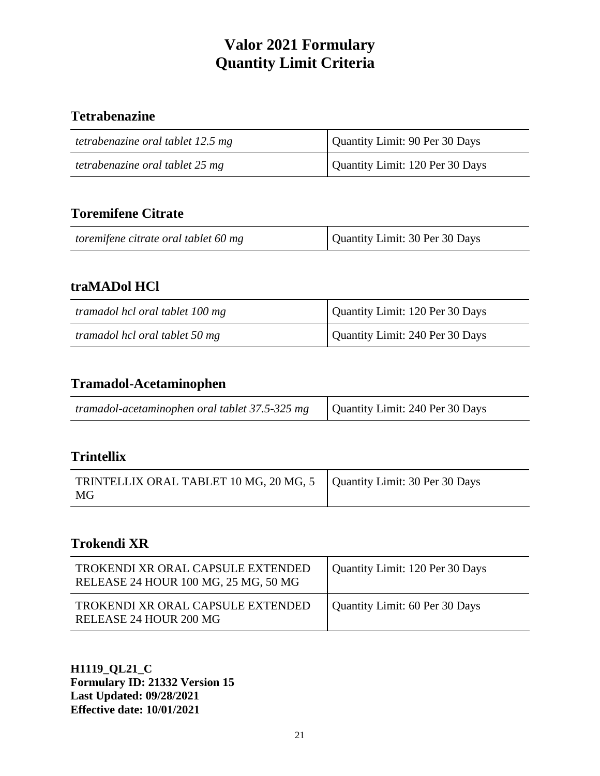# **Tetrabenazine**

| tetrabenazine oral tablet 12.5 mg | Quantity Limit: 90 Per 30 Days  |
|-----------------------------------|---------------------------------|
| tetrabenazine oral tablet 25 mg   | Quantity Limit: 120 Per 30 Days |

# **Toremifene Citrate**

| Quantity Limit: 30 Per 30 Days<br>toremifene citrate oral tablet 60 mg |  |
|------------------------------------------------------------------------|--|
|------------------------------------------------------------------------|--|

## **traMADol HCl**

| tramadol hcl oral tablet 100 mg | Quantity Limit: 120 Per 30 Days |
|---------------------------------|---------------------------------|
| tramadol hcl oral tablet 50 mg  | Quantity Limit: 240 Per 30 Days |

# **Tramadol-Acetaminophen**

| <i>tramadol-acetaminophen oral tablet 37.5-325 mg</i> $\vert$ Quantity Limit: 240 Per 30 Days |  |
|-----------------------------------------------------------------------------------------------|--|
|                                                                                               |  |

## **Trintellix**

| TRINTELLIX ORAL TABLET 10 MG, 20 MG, 5   Quantity Limit: 30 Per 30 Days |  |
|-------------------------------------------------------------------------|--|
| MG                                                                      |  |

## **Trokendi XR**

| TROKENDI XR ORAL CAPSULE EXTENDED<br>RELEASE 24 HOUR 100 MG, 25 MG, 50 MG | Quantity Limit: 120 Per 30 Days |
|---------------------------------------------------------------------------|---------------------------------|
| TROKENDI XR ORAL CAPSULE EXTENDED<br>RELEASE 24 HOUR 200 MG               | Quantity Limit: 60 Per 30 Days  |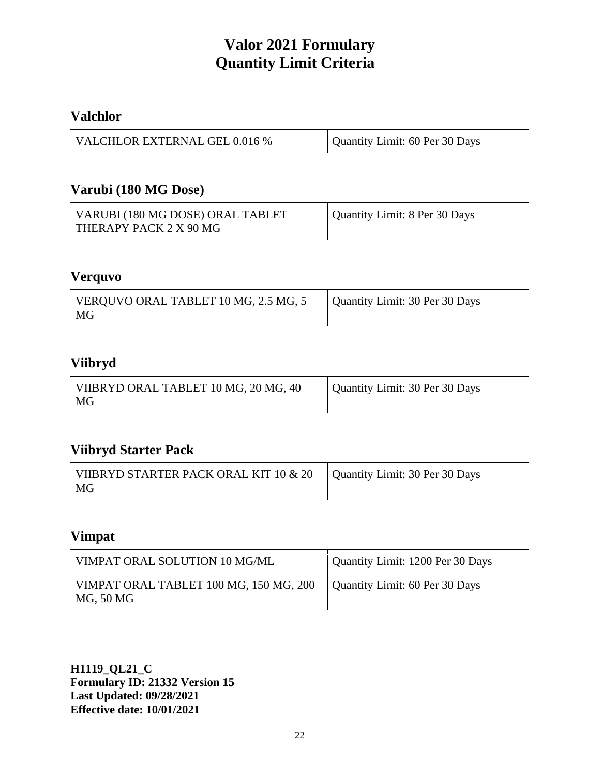## **Valchlor**

| VALCHLOR EXTERNAL GEL 0.016 % | Quantity Limit: 60 Per 30 Days |
|-------------------------------|--------------------------------|
|-------------------------------|--------------------------------|

#### **Varubi (180 MG Dose)**

| VARUBI (180 MG DOSE) ORAL TABLET | Quantity Limit: 8 Per 30 Days |
|----------------------------------|-------------------------------|
| THERAPY PACK 2 X 90 MG           |                               |

#### **Verquvo**

### **Viibryd**

| VIIBRYD ORAL TABLET 10 MG, 20 MG, 40<br>MG | Quantity Limit: 30 Per 30 Days |
|--------------------------------------------|--------------------------------|
|--------------------------------------------|--------------------------------|

# **Viibryd Starter Pack**

| VIIBRYD STARTER PACK ORAL KIT 10 & 20   Quantity Limit: 30 Per 30 Days<br>MG |  |
|------------------------------------------------------------------------------|--|

# **Vimpat**

| VIMPAT ORAL SOLUTION 10 MG/ML                                                        | Quantity Limit: 1200 Per 30 Days |
|--------------------------------------------------------------------------------------|----------------------------------|
| VIMPAT ORAL TABLET 100 MG, 150 MG, 200   Quantity Limit: 60 Per 30 Days<br>MG, 50 MG |                                  |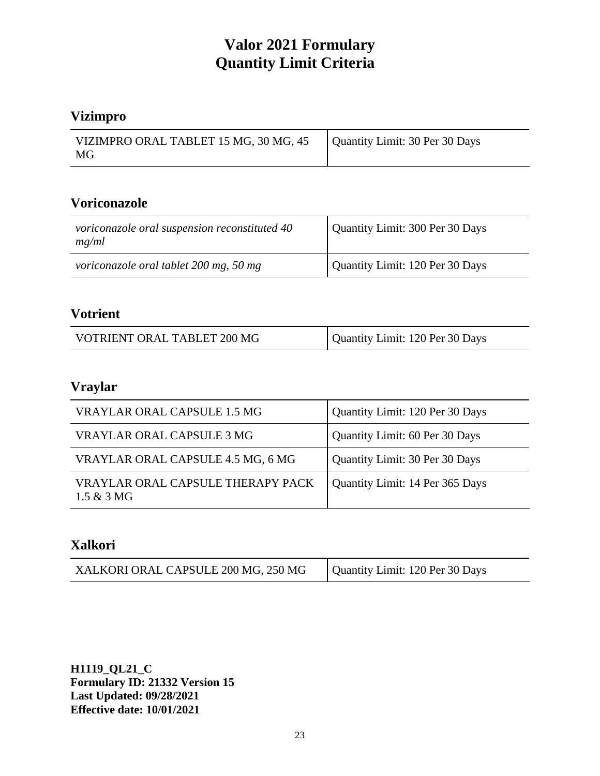# **Vizimpro**

| VIZIMPRO ORAL TABLET 15 MG, 30 MG, 45   Quantity Limit: 30 Per 30 Days<br>MG |  |
|------------------------------------------------------------------------------|--|

# **Voriconazole**

| voriconazole oral suspension reconstituted 40<br>mg/ml | Quantity Limit: 300 Per 30 Days |
|--------------------------------------------------------|---------------------------------|
| voriconazole oral tablet 200 mg, 50 mg                 | Quantity Limit: 120 Per 30 Days |

#### **Votrient**

| VOTRIENT ORAL TABLET 200 MG | Quantity Limit: 120 Per 30 Days |
|-----------------------------|---------------------------------|

# **Vraylar**

| VRAYLAR ORAL CAPSULE 1.5 MG                        | Quantity Limit: 120 Per 30 Days |
|----------------------------------------------------|---------------------------------|
| VRAYLAR ORAL CAPSULE 3 MG                          | Quantity Limit: 60 Per 30 Days  |
| VRAYLAR ORAL CAPSULE 4.5 MG, 6 MG                  | Quantity Limit: 30 Per 30 Days  |
| VRAYLAR ORAL CAPSULE THERAPY PACK<br>$1.5 & 3 M$ G | Quantity Limit: 14 Per 365 Days |

#### **Xalkori**

| XALKORI ORAL CAPSULE 200 MG, 250 MG | Quantity Limit: 120 Per 30 Days |
|-------------------------------------|---------------------------------|
|-------------------------------------|---------------------------------|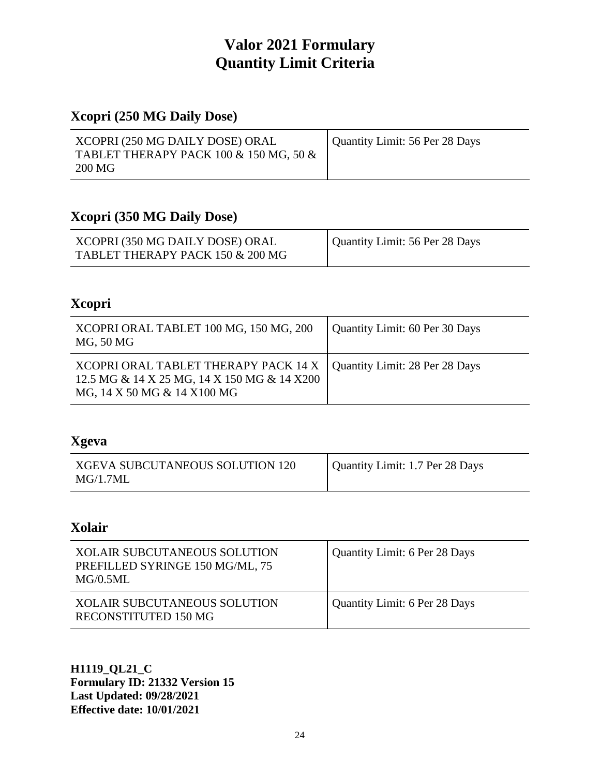# **Xcopri (250 MG Daily Dose)**

| Quantity Limit: 56 Per 28 Days |
|--------------------------------|
|                                |
|                                |
|                                |

# **Xcopri (350 MG Daily Dose)**

| XCOPRI (350 MG DAILY DOSE) ORAL  | Quantity Limit: 56 Per 28 Days |
|----------------------------------|--------------------------------|
| TABLET THERAPY PACK 150 & 200 MG |                                |

## **Xcopri**

| XCOPRI ORAL TABLET 100 MG, 150 MG, 200<br>MG, 50 MG                                                                                                 | Quantity Limit: 60 Per 30 Days |
|-----------------------------------------------------------------------------------------------------------------------------------------------------|--------------------------------|
| XCOPRI ORAL TABLET THERAPY PACK 14 X   Quantity Limit: 28 Per 28 Days<br>12.5 MG & 14 X 25 MG, 14 X 150 MG & 14 X200<br>MG, 14 X 50 MG & 14 X100 MG |                                |

# **Xgeva**

| Quantity Limit: 1.7 Per 28 Days<br>XGEVA SUBCUTANEOUS SOLUTION 120<br>MG/1.7ML |
|--------------------------------------------------------------------------------|
|--------------------------------------------------------------------------------|

### **Xolair**

| <b>XOLAIR SUBCUTANEOUS SOLUTION</b><br>PREFILLED SYRINGE 150 MG/ML, 75<br>MG/0.5ML | <b>Quantity Limit: 6 Per 28 Days</b> |
|------------------------------------------------------------------------------------|--------------------------------------|
| <b>XOLAIR SUBCUTANEOUS SOLUTION</b><br>RECONSTITUTED 150 MG                        | Quantity Limit: 6 Per 28 Days        |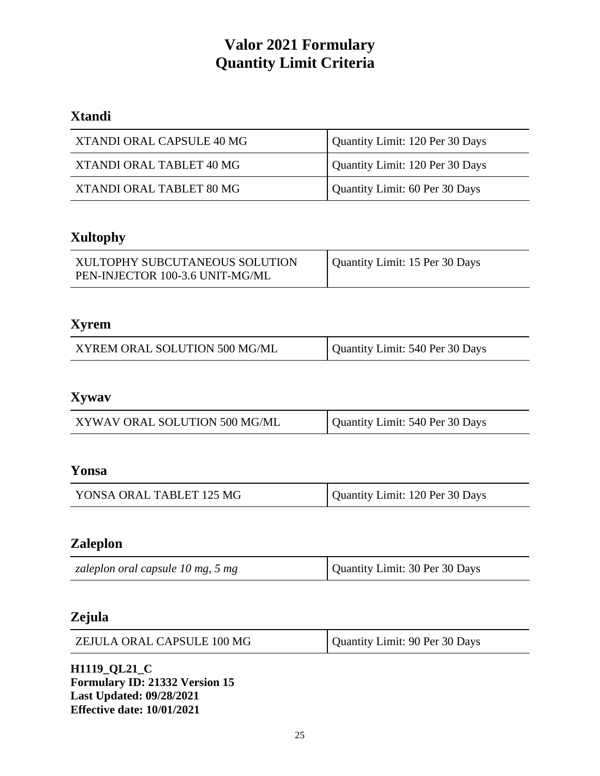# **Xtandi**

| XTANDI ORAL CAPSULE 40 MG | Quantity Limit: 120 Per 30 Days |
|---------------------------|---------------------------------|
| XTANDI ORAL TABLET 40 MG  | Quantity Limit: 120 Per 30 Days |
| XTANDI ORAL TABLET 80 MG  | Quantity Limit: 60 Per 30 Days  |

# **Xultophy**

| XULTOPHY SUBCUTANEOUS SOLUTION  | Quantity Limit: 15 Per 30 Days |
|---------------------------------|--------------------------------|
| PEN-INJECTOR 100-3.6 UNIT-MG/ML |                                |

# **Xyrem**

| XYREM ORAL SOLUTION 500 MG/ML | Quantity Limit: 540 Per 30 Days |
|-------------------------------|---------------------------------|
|-------------------------------|---------------------------------|

# **Xywav**

| XYWAV ORAL SOLUTION 500 MG/ML | Quantity Limit: 540 Per 30 Days |
|-------------------------------|---------------------------------|
|-------------------------------|---------------------------------|

#### **Yonsa**

| YONSA ORAL TABLET 125 MG | Quantity Limit: 120 Per 30 Days |
|--------------------------|---------------------------------|
|--------------------------|---------------------------------|

#### **Zaleplon**

| Quantity Limit: 30 Per 30 Days<br>zaleplon oral capsule 10 mg, 5 mg |
|---------------------------------------------------------------------|
|---------------------------------------------------------------------|

# **Zejula**

| ZEJULA ORAL CAPSULE 100 MG | Quantity Limit: 90 Per 30 Days |
|----------------------------|--------------------------------|
|----------------------------|--------------------------------|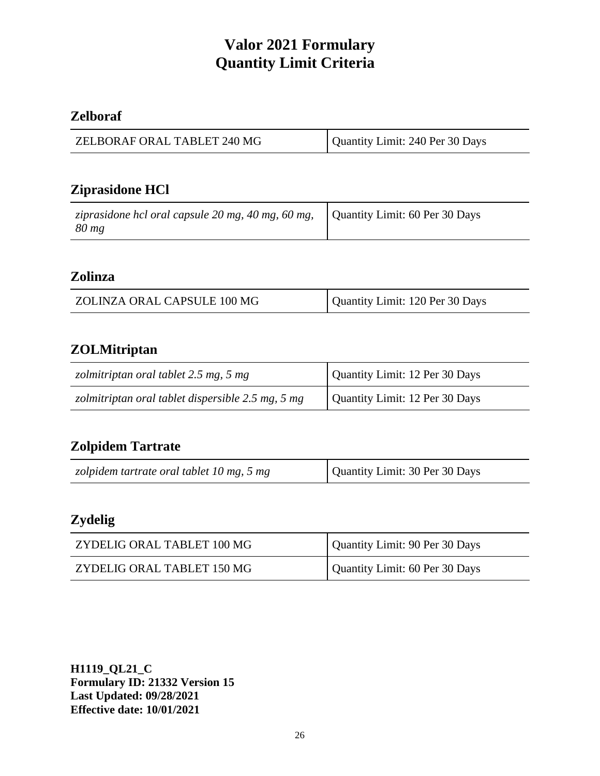# **Zelboraf**

| ZELBORAF ORAL TABLET 240 MG | Quantity Limit: 240 Per 30 Days |
|-----------------------------|---------------------------------|
|-----------------------------|---------------------------------|

# **Ziprasidone HCl**

| ziprasidone hcl oral capsule 20 mg, 40 mg, 60 mg,<br>80 mg | Quantity Limit: 60 Per 30 Days |
|------------------------------------------------------------|--------------------------------|
|------------------------------------------------------------|--------------------------------|

#### **Zolinza**

| ZOLINZA ORAL CAPSULE 100 MG | Quantity Limit: 120 Per 30 Days |
|-----------------------------|---------------------------------|
|                             |                                 |

## **ZOLMitriptan**

| zolmitriptan oral tablet 2.5 mg, 5 mg             | Quantity Limit: 12 Per 30 Days |
|---------------------------------------------------|--------------------------------|
| zolmitriptan oral tablet dispersible 2.5 mg, 5 mg | Quantity Limit: 12 Per 30 Days |

## **Zolpidem Tartrate**

| zolpidem tartrate oral tablet 10 mg, 5 mg | Quantity Limit: 30 Per 30 Days |
|-------------------------------------------|--------------------------------|
|-------------------------------------------|--------------------------------|

# **Zydelig**

| ZYDELIG ORAL TABLET 100 MG | Quantity Limit: 90 Per 30 Days |
|----------------------------|--------------------------------|
| ZYDELIG ORAL TABLET 150 MG | Quantity Limit: 60 Per 30 Days |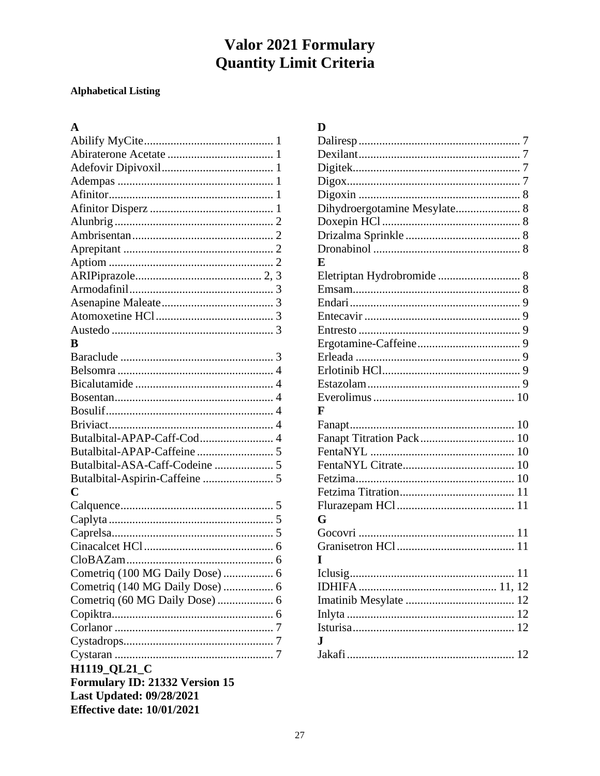#### **Alphabetical Listing**

#### $\mathbf{A}$

| B                                 |  |
|-----------------------------------|--|
|                                   |  |
|                                   |  |
|                                   |  |
|                                   |  |
|                                   |  |
|                                   |  |
| Butalbital-APAP-Caff-Cod 4        |  |
|                                   |  |
| Butalbital-ASA-Caff-Codeine  5    |  |
|                                   |  |
| C                                 |  |
|                                   |  |
|                                   |  |
|                                   |  |
|                                   |  |
|                                   |  |
| Cometriq (100 MG Daily Dose)  6   |  |
| Cometriq (140 MG Daily Dose)  6   |  |
|                                   |  |
|                                   |  |
|                                   |  |
|                                   |  |
|                                   |  |
| H1119_QL21_C                      |  |
| Formulary ID: 21332 Version 15    |  |
| <b>Last Updated: 09/28/2021</b>   |  |
| <b>Effective date: 10/01/2021</b> |  |
|                                   |  |

| D                            |
|------------------------------|
|                              |
|                              |
|                              |
|                              |
|                              |
| Dihydroergotamine Mesylate 8 |
|                              |
|                              |
|                              |
| E                            |
|                              |
|                              |
|                              |
|                              |
|                              |
|                              |
|                              |
|                              |
|                              |
|                              |
| F                            |
|                              |
|                              |
|                              |
|                              |
|                              |
|                              |
|                              |
| G                            |
|                              |
|                              |
|                              |
|                              |
|                              |
|                              |
|                              |
|                              |
| J.                           |
| 12                           |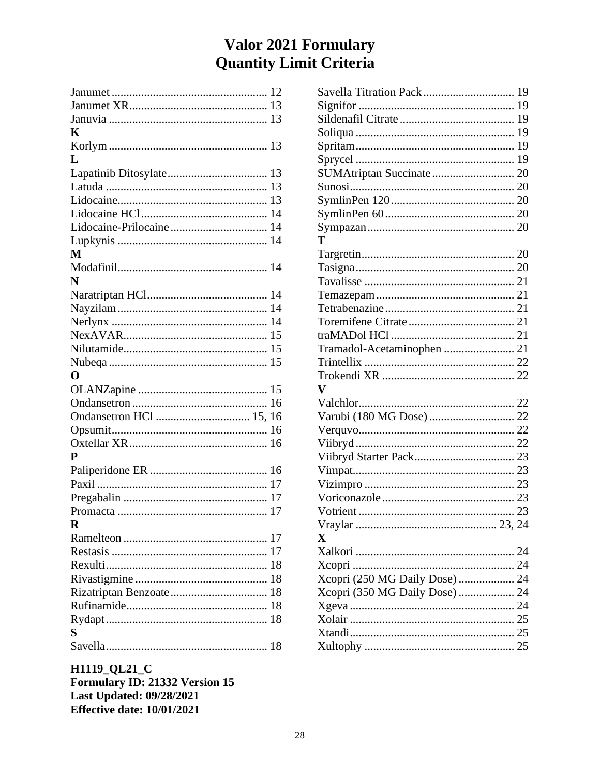| K                       |
|-------------------------|
|                         |
| L                       |
|                         |
|                         |
|                         |
|                         |
|                         |
|                         |
| М                       |
|                         |
| N                       |
|                         |
|                         |
|                         |
|                         |
|                         |
|                         |
| O                       |
|                         |
|                         |
| Ondansetron HCl  15, 16 |
|                         |
|                         |
| P                       |
|                         |
|                         |
|                         |
| 17                      |
| R                       |
|                         |
|                         |
|                         |
|                         |
|                         |
|                         |
|                         |
| S                       |
|                         |
|                         |

| $\overline{\mathbf{V}}$        |  |
|--------------------------------|--|
|                                |  |
|                                |  |
|                                |  |
|                                |  |
|                                |  |
|                                |  |
|                                |  |
|                                |  |
|                                |  |
|                                |  |
| $\overline{\mathbf{X}}$        |  |
|                                |  |
|                                |  |
| Xcopri (250 MG Daily Dose)  24 |  |
| Xcopri (350 MG Daily Dose)  24 |  |
|                                |  |
|                                |  |
|                                |  |
|                                |  |
|                                |  |